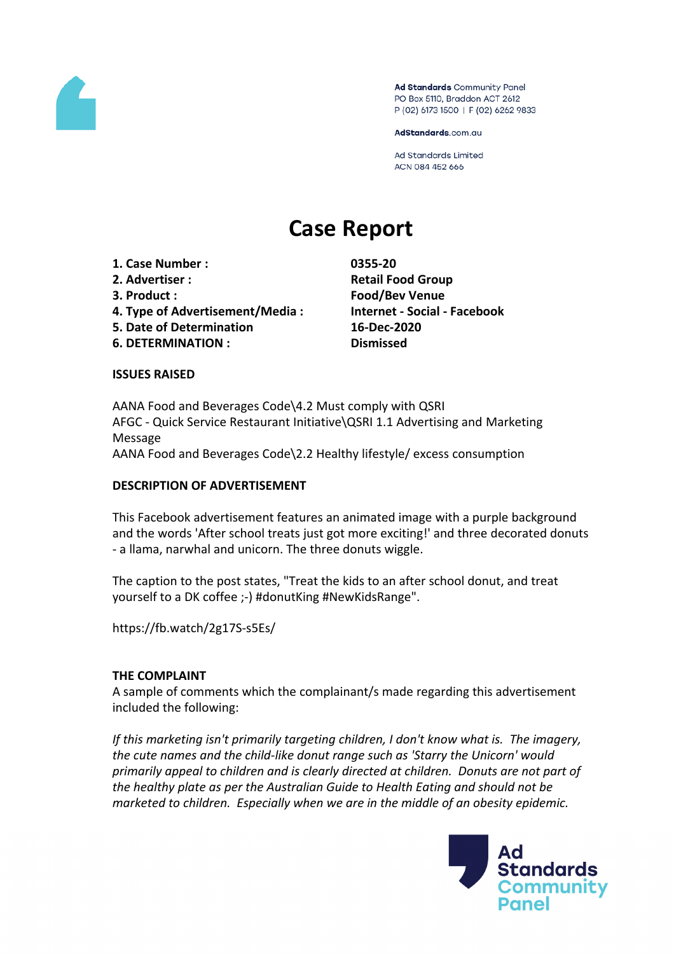

Ad Standards Community Panel PO Box 5110, Braddon ACT 2612 P (02) 6173 1500 | F (02) 6262 9833

AdStandards.com.au

**Ad Standards Limited** ACN 084 452 666

# **Case Report**

- **1. Case Number : 0355-20**
- 
- 
- **4. Type of Advertisement/Media : Internet - Social - Facebook**
- **5. Date of Determination 16-Dec-2020**
- **6. DETERMINATION : Dismissed**

**2. Advertiser : Retail Food Group 3. Product : Food/Bev Venue**

## **ISSUES RAISED**

AANA Food and Beverages Code\4.2 Must comply with QSRI AFGC - Quick Service Restaurant Initiative\QSRI 1.1 Advertising and Marketing Message AANA Food and Beverages Code\2.2 Healthy lifestyle/ excess consumption

## **DESCRIPTION OF ADVERTISEMENT**

This Facebook advertisement features an animated image with a purple background and the words 'After school treats just got more exciting!' and three decorated donuts - a llama, narwhal and unicorn. The three donuts wiggle.

The caption to the post states, "Treat the kids to an after school donut, and treat yourself to a DK coffee ;-) #donutKing #NewKidsRange".

https://fb.watch/2g17S-s5Es/

## **THE COMPLAINT**

A sample of comments which the complainant/s made regarding this advertisement included the following:

*If this marketing isn't primarily targeting children, I don't know what is. The imagery, the cute names and the child-like donut range such as 'Starry the Unicorn' would primarily appeal to children and is clearly directed at children. Donuts are not part of the healthy plate as per the Australian Guide to Health Eating and should not be marketed to children. Especially when we are in the middle of an obesity epidemic.*

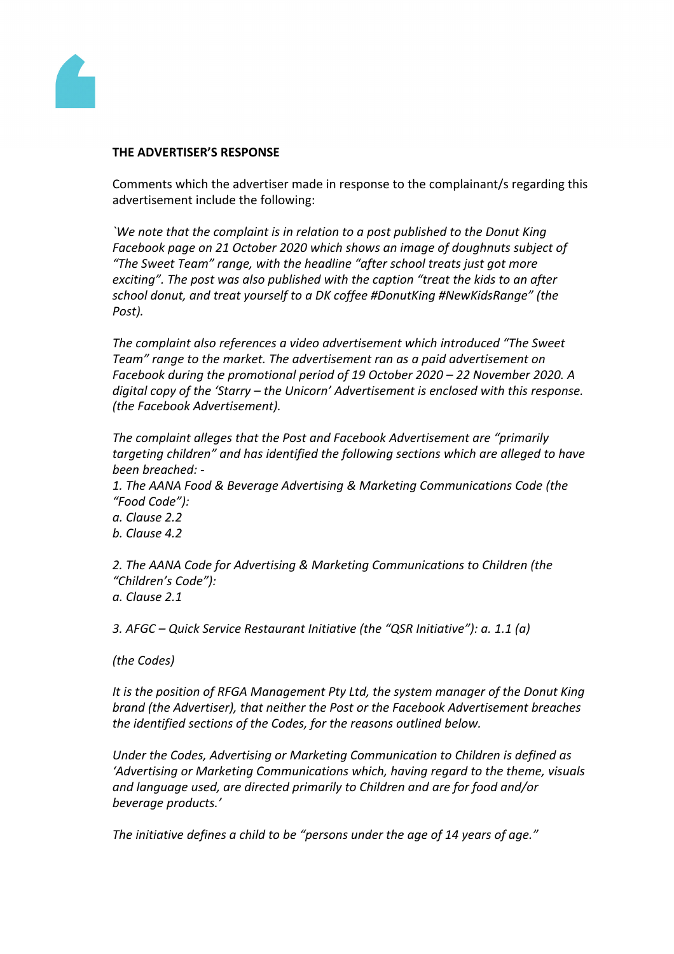

## **THE ADVERTISER'S RESPONSE**

Comments which the advertiser made in response to the complainant/s regarding this advertisement include the following:

*`We note that the complaint is in relation to a post published to the Donut King Facebook page on 21 October 2020 which shows an image of doughnuts subject of "The Sweet Team" range, with the headline "after school treats just got more exciting". The post was also published with the caption "treat the kids to an after school donut, and treat yourself to a DK coffee #DonutKing #NewKidsRange" (the Post).*

*The complaint also references a video advertisement which introduced "The Sweet Team" range to the market. The advertisement ran as a paid advertisement on Facebook during the promotional period of 19 October 2020 – 22 November 2020. A digital copy of the 'Starry – the Unicorn' Advertisement is enclosed with this response. (the Facebook Advertisement).*

*The complaint alleges that the Post and Facebook Advertisement are "primarily targeting children" and has identified the following sections which are alleged to have been breached: -*

*1. The AANA Food & Beverage Advertising & Marketing Communications Code (the "Food Code"):*

*a. Clause 2.2*

*b. Clause 4.2*

*2. The AANA Code for Advertising & Marketing Communications to Children (the "Children's Code"):*

*a. Clause 2.1*

*3. AFGC – Quick Service Restaurant Initiative (the "QSR Initiative"): a. 1.1 (a)*

*(the Codes)*

*It is the position of RFGA Management Pty Ltd, the system manager of the Donut King brand (the Advertiser), that neither the Post or the Facebook Advertisement breaches the identified sections of the Codes, for the reasons outlined below.*

*Under the Codes, Advertising or Marketing Communication to Children is defined as 'Advertising or Marketing Communications which, having regard to the theme, visuals and language used, are directed primarily to Children and are for food and/or beverage products.'*

*The initiative defines a child to be "persons under the age of 14 years of age."*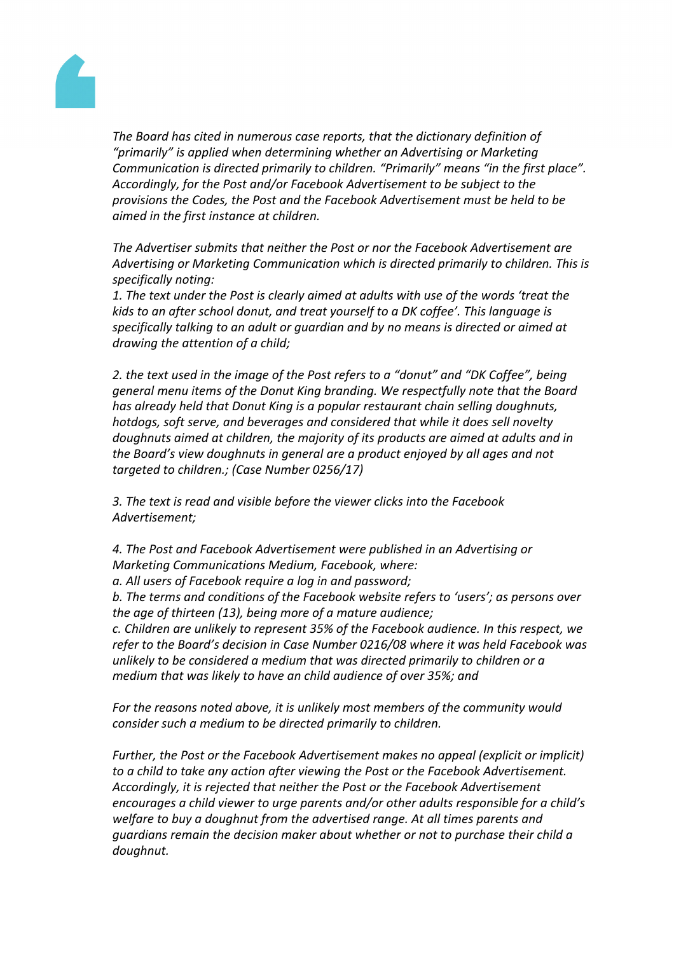

*The Board has cited in numerous case reports, that the dictionary definition of "primarily" is applied when determining whether an Advertising or Marketing Communication is directed primarily to children. "Primarily" means "in the first place". Accordingly, for the Post and/or Facebook Advertisement to be subject to the provisions the Codes, the Post and the Facebook Advertisement must be held to be aimed in the first instance at children.*

*The Advertiser submits that neither the Post or nor the Facebook Advertisement are Advertising or Marketing Communication which is directed primarily to children. This is specifically noting:*

*1. The text under the Post is clearly aimed at adults with use of the words 'treat the kids to an after school donut, and treat yourself to a DK coffee'. This language is specifically talking to an adult or guardian and by no means is directed or aimed at drawing the attention of a child;*

*2. the text used in the image of the Post refers to a "donut" and "DK Coffee", being general menu items of the Donut King branding. We respectfully note that the Board has already held that Donut King is a popular restaurant chain selling doughnuts, hotdogs, soft serve, and beverages and considered that while it does sell novelty doughnuts aimed at children, the majority of its products are aimed at adults and in the Board's view doughnuts in general are a product enjoyed by all ages and not targeted to children.; (Case Number 0256/17)*

*3. The text is read and visible before the viewer clicks into the Facebook Advertisement;*

*4. The Post and Facebook Advertisement were published in an Advertising or Marketing Communications Medium, Facebook, where:*

*a. All users of Facebook require a log in and password;*

*b. The terms and conditions of the Facebook website refers to 'users'; as persons over the age of thirteen (13), being more of a mature audience;*

*c. Children are unlikely to represent 35% of the Facebook audience. In this respect, we refer to the Board's decision in Case Number 0216/08 where it was held Facebook was unlikely to be considered a medium that was directed primarily to children or a medium that was likely to have an child audience of over 35%; and*

*For the reasons noted above, it is unlikely most members of the community would consider such a medium to be directed primarily to children.*

*Further, the Post or the Facebook Advertisement makes no appeal (explicit or implicit) to a child to take any action after viewing the Post or the Facebook Advertisement. Accordingly, it is rejected that neither the Post or the Facebook Advertisement encourages a child viewer to urge parents and/or other adults responsible for a child's welfare to buy a doughnut from the advertised range. At all times parents and guardians remain the decision maker about whether or not to purchase their child a doughnut.*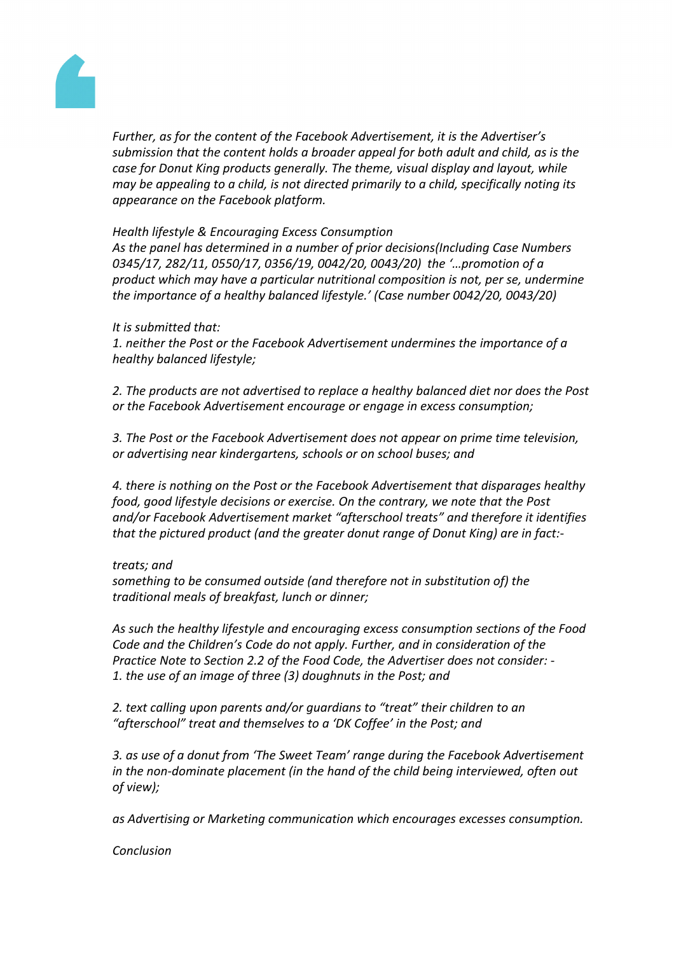

*Further, as for the content of the Facebook Advertisement, it is the Advertiser's submission that the content holds a broader appeal for both adult and child, as is the case for Donut King products generally. The theme, visual display and layout, while may be appealing to a child, is not directed primarily to a child, specifically noting its appearance on the Facebook platform.*

## *Health lifestyle & Encouraging Excess Consumption*

*As the panel has determined in a number of prior decisions(Including Case Numbers 0345/17, 282/11, 0550/17, 0356/19, 0042/20, 0043/20) the '…promotion of a product which may have a particular nutritional composition is not, per se, undermine the importance of a healthy balanced lifestyle.' (Case number 0042/20, 0043/20)*

## *It is submitted that:*

*1. neither the Post or the Facebook Advertisement undermines the importance of a healthy balanced lifestyle;*

*2. The products are not advertised to replace a healthy balanced diet nor does the Post or the Facebook Advertisement encourage or engage in excess consumption;*

*3. The Post or the Facebook Advertisement does not appear on prime time television, or advertising near kindergartens, schools or on school buses; and*

*4. there is nothing on the Post or the Facebook Advertisement that disparages healthy food, good lifestyle decisions or exercise. On the contrary, we note that the Post and/or Facebook Advertisement market "afterschool treats" and therefore it identifies that the pictured product (and the greater donut range of Donut King) are in fact:-*

## *treats; and*

*something to be consumed outside (and therefore not in substitution of) the traditional meals of breakfast, lunch or dinner;*

*As such the healthy lifestyle and encouraging excess consumption sections of the Food Code and the Children's Code do not apply. Further, and in consideration of the Practice Note to Section 2.2 of the Food Code, the Advertiser does not consider: - 1. the use of an image of three (3) doughnuts in the Post; and*

*2. text calling upon parents and/or guardians to "treat" their children to an "afterschool" treat and themselves to a 'DK Coffee' in the Post; and*

*3. as use of a donut from 'The Sweet Team' range during the Facebook Advertisement in the non-dominate placement (in the hand of the child being interviewed, often out of view);*

*as Advertising or Marketing communication which encourages excesses consumption.*

*Conclusion*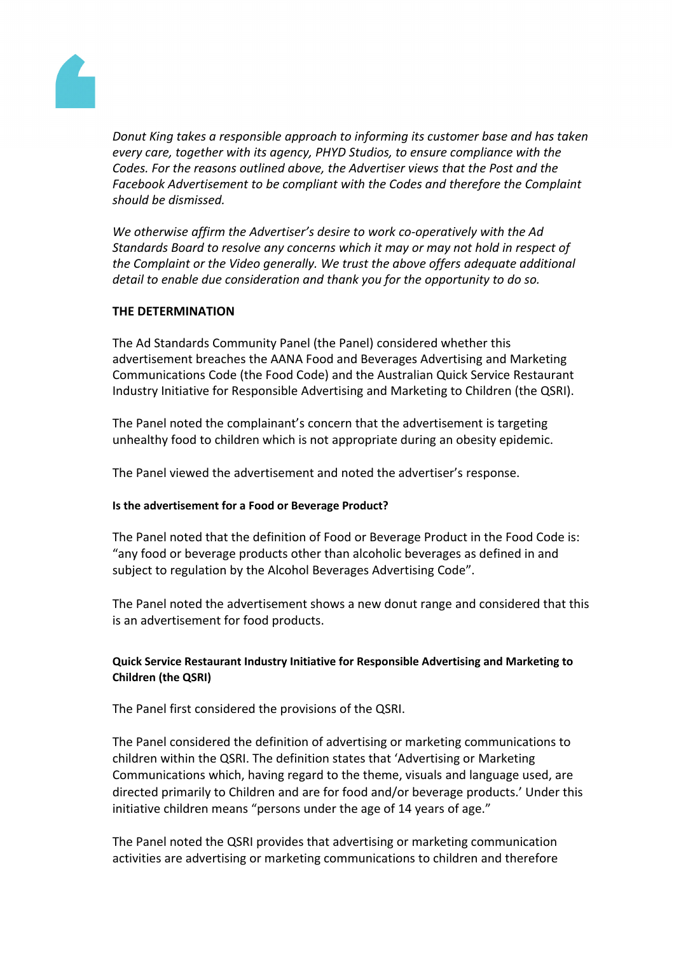

*Donut King takes a responsible approach to informing its customer base and has taken every care, together with its agency, PHYD Studios, to ensure compliance with the Codes. For the reasons outlined above, the Advertiser views that the Post and the Facebook Advertisement to be compliant with the Codes and therefore the Complaint should be dismissed.*

*We otherwise affirm the Advertiser's desire to work co-operatively with the Ad Standards Board to resolve any concerns which it may or may not hold in respect of the Complaint or the Video generally. We trust the above offers adequate additional detail to enable due consideration and thank you for the opportunity to do so.*

## **THE DETERMINATION**

The Ad Standards Community Panel (the Panel) considered whether this advertisement breaches the AANA Food and Beverages Advertising and Marketing Communications Code (the Food Code) and the Australian Quick Service Restaurant Industry Initiative for Responsible Advertising and Marketing to Children (the QSRI).

The Panel noted the complainant's concern that the advertisement is targeting unhealthy food to children which is not appropriate during an obesity epidemic.

The Panel viewed the advertisement and noted the advertiser's response.

## **Is the advertisement for a Food or Beverage Product?**

The Panel noted that the definition of Food or Beverage Product in the Food Code is: "any food or beverage products other than alcoholic beverages as defined in and subject to regulation by the Alcohol Beverages Advertising Code".

The Panel noted the advertisement shows a new donut range and considered that this is an advertisement for food products.

## **Quick Service Restaurant Industry Initiative for Responsible Advertising and Marketing to Children (the QSRI)**

The Panel first considered the provisions of the QSRI.

The Panel considered the definition of advertising or marketing communications to children within the QSRI. The definition states that 'Advertising or Marketing Communications which, having regard to the theme, visuals and language used, are directed primarily to Children and are for food and/or beverage products.' Under this initiative children means "persons under the age of 14 years of age."

The Panel noted the QSRI provides that advertising or marketing communication activities are advertising or marketing communications to children and therefore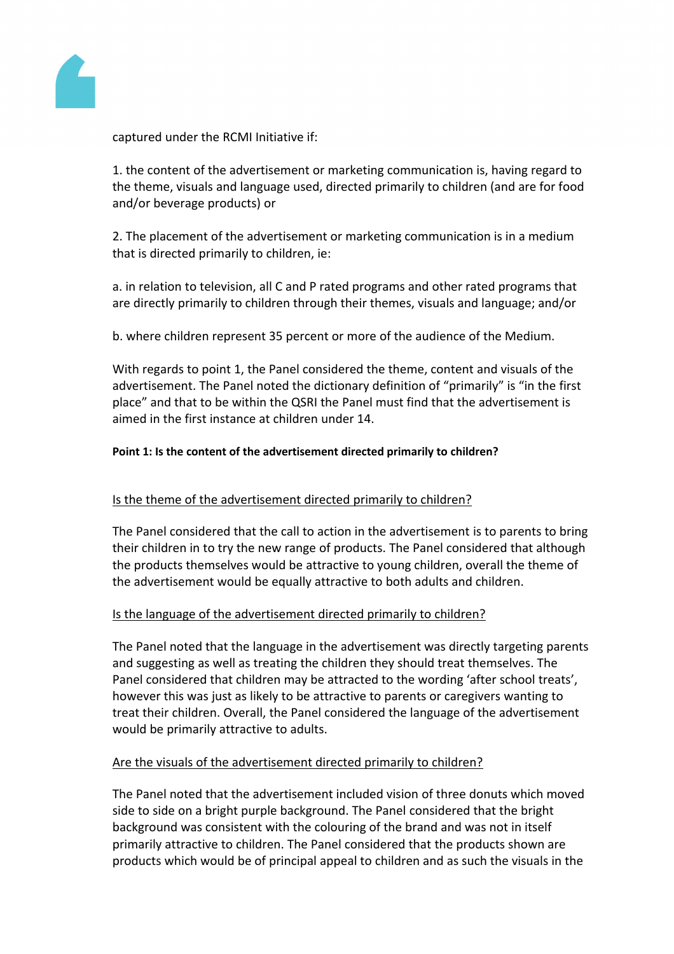

captured under the RCMI Initiative if:

1. the content of the advertisement or marketing communication is, having regard to the theme, visuals and language used, directed primarily to children (and are for food and/or beverage products) or

2. The placement of the advertisement or marketing communication is in a medium that is directed primarily to children, ie:

a. in relation to television, all C and P rated programs and other rated programs that are directly primarily to children through their themes, visuals and language; and/or

b. where children represent 35 percent or more of the audience of the Medium.

With regards to point 1, the Panel considered the theme, content and visuals of the advertisement. The Panel noted the dictionary definition of "primarily" is "in the first place" and that to be within the QSRI the Panel must find that the advertisement is aimed in the first instance at children under 14.

## **Point 1: Is the content of the advertisement directed primarily to children?**

# Is the theme of the advertisement directed primarily to children?

The Panel considered that the call to action in the advertisement is to parents to bring their children in to try the new range of products. The Panel considered that although the products themselves would be attractive to young children, overall the theme of the advertisement would be equally attractive to both adults and children.

# Is the language of the advertisement directed primarily to children?

The Panel noted that the language in the advertisement was directly targeting parents and suggesting as well as treating the children they should treat themselves. The Panel considered that children may be attracted to the wording 'after school treats', however this was just as likely to be attractive to parents or caregivers wanting to treat their children. Overall, the Panel considered the language of the advertisement would be primarily attractive to adults.

## Are the visuals of the advertisement directed primarily to children?

The Panel noted that the advertisement included vision of three donuts which moved side to side on a bright purple background. The Panel considered that the bright background was consistent with the colouring of the brand and was not in itself primarily attractive to children. The Panel considered that the products shown are products which would be of principal appeal to children and as such the visuals in the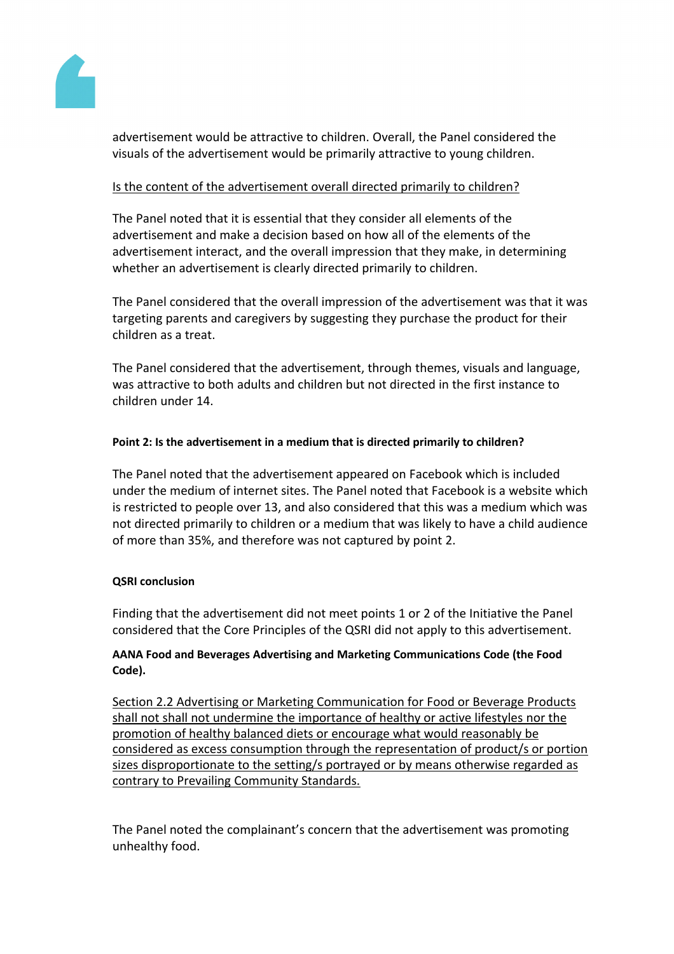

advertisement would be attractive to children. Overall, the Panel considered the visuals of the advertisement would be primarily attractive to young children.

# Is the content of the advertisement overall directed primarily to children?

The Panel noted that it is essential that they consider all elements of the advertisement and make a decision based on how all of the elements of the advertisement interact, and the overall impression that they make, in determining whether an advertisement is clearly directed primarily to children.

The Panel considered that the overall impression of the advertisement was that it was targeting parents and caregivers by suggesting they purchase the product for their children as a treat.

The Panel considered that the advertisement, through themes, visuals and language, was attractive to both adults and children but not directed in the first instance to children under 14.

## **Point 2: Is the advertisement in a medium that is directed primarily to children?**

The Panel noted that the advertisement appeared on Facebook which is included under the medium of internet sites. The Panel noted that Facebook is a website which is restricted to people over 13, and also considered that this was a medium which was not directed primarily to children or a medium that was likely to have a child audience of more than 35%, and therefore was not captured by point 2.

## **QSRI conclusion**

Finding that the advertisement did not meet points 1 or 2 of the Initiative the Panel considered that the Core Principles of the QSRI did not apply to this advertisement.

# **AANA Food and Beverages Advertising and Marketing Communications Code (the Food Code).**

Section 2.2 Advertising or Marketing Communication for Food or Beverage Products shall not shall not undermine the importance of healthy or active lifestyles nor the promotion of healthy balanced diets or encourage what would reasonably be considered as excess consumption through the representation of product/s or portion sizes disproportionate to the setting/s portrayed or by means otherwise regarded as contrary to Prevailing Community Standards.

The Panel noted the complainant's concern that the advertisement was promoting unhealthy food.